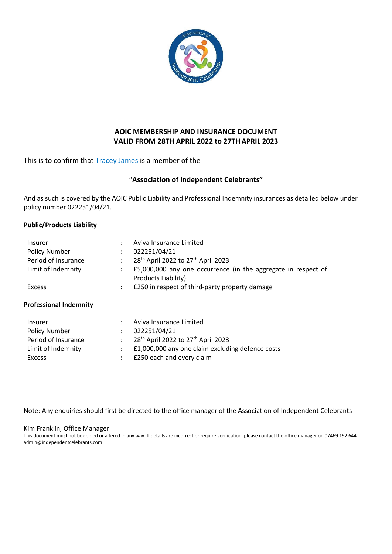

# AOIC MEMBERSHIP AND INSURANCE DOCUMENT VALID FROM 28TH APRIL 2022 to 27THAPRIL 2023

## This is to confirm that Tracey James is a member of the

## "Association of Independent Celebrants"

And as such is covered by the AOIC Public Liability and Professional Indemnity insurances as detailed below under policy number 022251/04/21.

### Public/Products Liability

| Insurer<br><b>Policy Number</b><br>Period of Insurance<br>Limit of Indemnity | $\ddot{\phantom{0}}$<br>$\ddot{\phantom{a}}$ | Aviva Insurance Limited<br>022251/04/21<br>28 <sup>th</sup> April 2022 to 27 <sup>th</sup> April 2023<br>£5,000,000 any one occurrence (in the aggregate in respect of<br>Products Liability) |
|------------------------------------------------------------------------------|----------------------------------------------|-----------------------------------------------------------------------------------------------------------------------------------------------------------------------------------------------|
| Excess                                                                       | $\ddot{\phantom{a}}$                         | £250 in respect of third-party property damage                                                                                                                                                |
| <b>Professional Indemnity</b>                                                |                                              |                                                                                                                                                                                               |
| <b>Insurer</b><br><b>Policy Number</b><br>Period of Insurance                | $\ddot{\phantom{0}}$<br>$\bullet$            | Aviva Insurance Limited<br>022251/04/21<br>28 <sup>th</sup> April 2022 to 27 <sup>th</sup> April 2023                                                                                         |

Limit of Indemnity : £1,000,000 any one claim excluding defence costs

Excess : £250 each and every claim

Note: Any enquiries should first be directed to the office manager of the Association of Independent Celebrants

#### Kim Franklin, Office Manager

This document must not be copied or altered in any way. If details are incorrect or require verification, please contact the office manager on 07469 192 644 admin@independentcelebrants.com